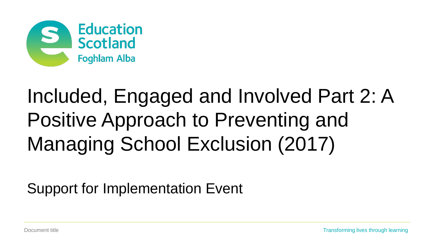

## Included, Engaged and Involved Part 2: A Positive Approach to Preventing and Managing School Exclusion (2017)

Support for Implementation Event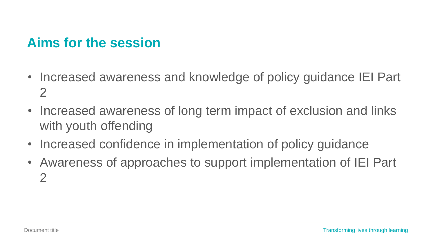#### **Aims for the session**

- Increased awareness and knowledge of policy guidance IEI Part 2
- Increased awareness of long term impact of exclusion and links with youth offending
- Increased confidence in implementation of policy guidance
- Awareness of approaches to support implementation of IEI Part 2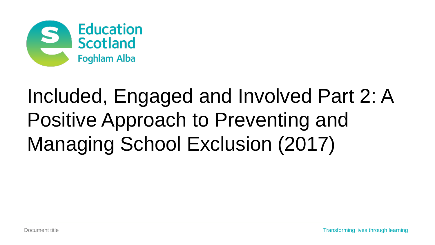

## Included, Engaged and Involved Part 2: A Positive Approach to Preventing and Managing School Exclusion (2017)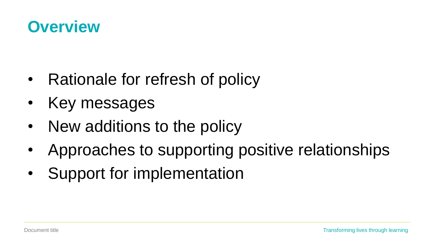### **Overview**

- Rationale for refresh of policy
- Key messages
- New additions to the policy
- Approaches to supporting positive relationships
- Support for implementation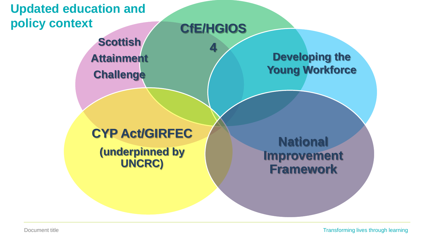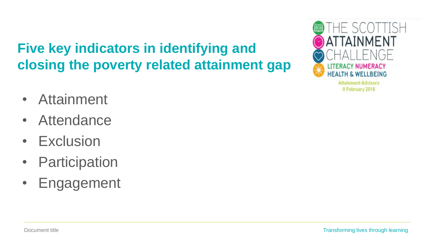**Five key indicators in identifying and closing the poverty related attainment gap**

- Attainment
- Attendance
- Exclusion
- Participation
- Engagement

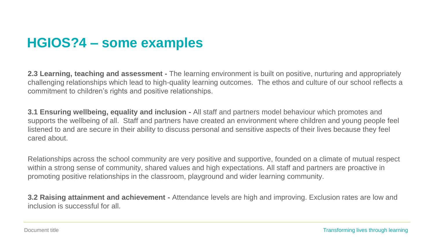#### **HGIOS?4 – some examples**

**2.3 Learning, teaching and assessment -** The learning environment is built on positive, nurturing and appropriately challenging relationships which lead to high-quality learning outcomes. The ethos and culture of our school reflects a commitment to children's rights and positive relationships.

**3.1 Ensuring wellbeing, equality and inclusion -** All staff and partners model behaviour which promotes and supports the wellbeing of all. Staff and partners have created an environment where children and young people feel listened to and are secure in their ability to discuss personal and sensitive aspects of their lives because they feel cared about.

Relationships across the school community are very positive and supportive, founded on a climate of mutual respect within a strong sense of community, shared values and high expectations. All staff and partners are proactive in promoting positive relationships in the classroom, playground and wider learning community.

**3.2 Raising attainment and achievement -** Attendance levels are high and improving. Exclusion rates are low and inclusion is successful for all.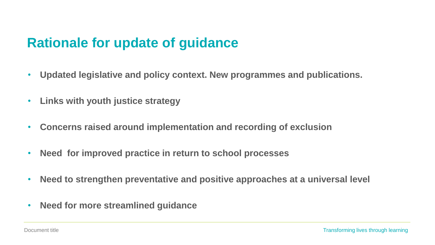#### **Rationale for update of guidance**

- **Updated legislative and policy context. New programmes and publications.**
- **Links with youth justice strategy**
- **Concerns raised around implementation and recording of exclusion**
- **Need for improved practice in return to school processes**
- **Need to strengthen preventative and positive approaches at a universal level**
- **Need for more streamlined guidance**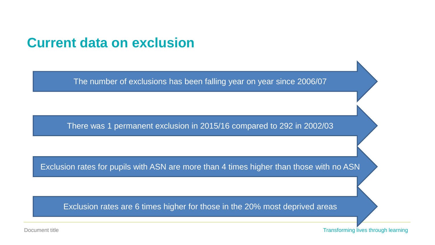#### **Current data on exclusion**

The number of exclusions has been falling year on year since 2006/07

There was 1 permanent exclusion in 2015/16 compared to 292 in 2002/03

Exclusion rates for pupils with ASN are more than 4 times higher than those with no ASN

Exclusion rates are 6 times higher for those in the 20% most deprived areas

Document title **Transforming lives through learning**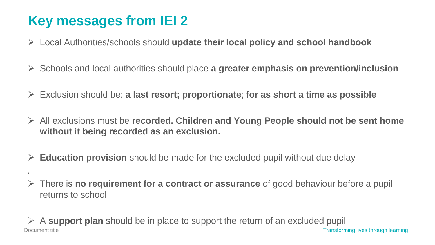#### **Key messages from IEI 2**

.

- Local Authorities/schools should **update their local policy and school handbook**
- Schools and local authorities should place **a greater emphasis on prevention/inclusion**
- Exclusion should be: **a last resort; proportionate**; **for as short a time as possible**
- All exclusions must be **recorded. Children and Young People should not be sent home without it being recorded as an exclusion.**
- **Education provision** should be made for the excluded pupil without due delay
- There is **no requirement for a contract or assurance** of good behaviour before a pupil returns to school

Document title Transforming lives through learning A **support plan** should be in place to support the return of an excluded pupil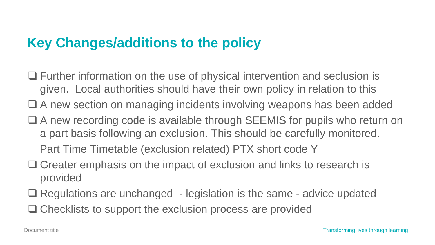#### **Key Changes/additions to the policy**

- Further information on the use of physical intervention and seclusion is given. Local authorities should have their own policy in relation to this
- □ A new section on managing incidents involving weapons has been added
- A new recording code is available through SEEMIS for pupils who return on a part basis following an exclusion. This should be carefully monitored.

Part Time Timetable (exclusion related) PTX short code Y

- $\Box$  Greater emphasis on the impact of exclusion and links to research is provided
- □ Regulations are unchanged legislation is the same advice updated □ Checklists to support the exclusion process are provided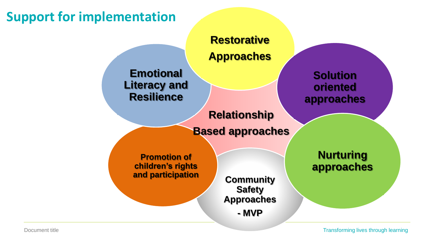#### **Support for implementation**

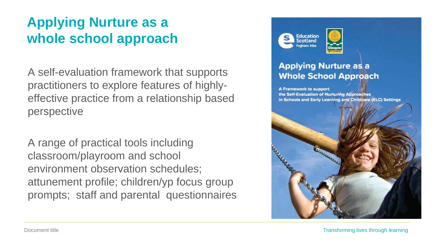#### **Applying Nurture as a whole school approach**

A self-evaluation framework that supports practitioners to explore features of highlyeffective practice from a relationship based perspective

A range of practical tools including classroom/playroom and school environment observation schedules; attunement profile; children/yp focus group prompts; staff and parental questionnaires



#### **Applying Nurture as a Whole School Approach**

**A Framework to support** the Self-Evaluation of Nurturing Approaches in Schools and Early Learning and Childcare (ELC) Settings

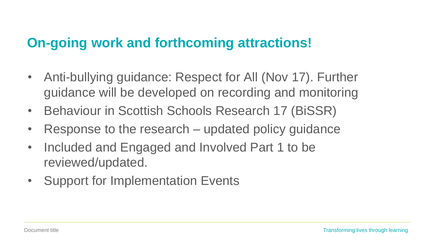#### **On-going work and forthcoming attractions!**

- Anti-bullying guidance: Respect for All (Nov 17). Further guidance will be developed on recording and monitoring
- Behaviour in Scottish Schools Research 17 (BiSSR)
- Response to the research updated policy guidance
- Included and Engaged and Involved Part 1 to be reviewed/updated.
- Support for Implementation Events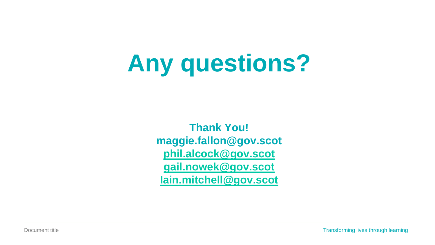# **Any questions?**

**Thank You! maggie.fallon@gov.scot [phil.alcock@gov.scot](mailto:phil.alcock@gov.scot) [gail.nowek@gov.scot](mailto:gail.nowek@gov.scot) [Iain.mitchell@gov.scot](mailto:Iain.mitchell@gov.scot)**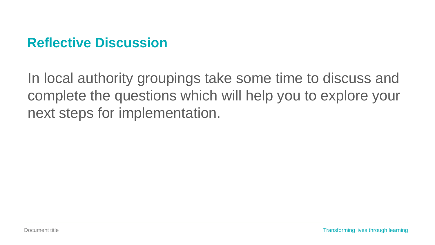#### **Reflective Discussion**

In local authority groupings take some time to discuss and complete the questions which will help you to explore your next steps for implementation.